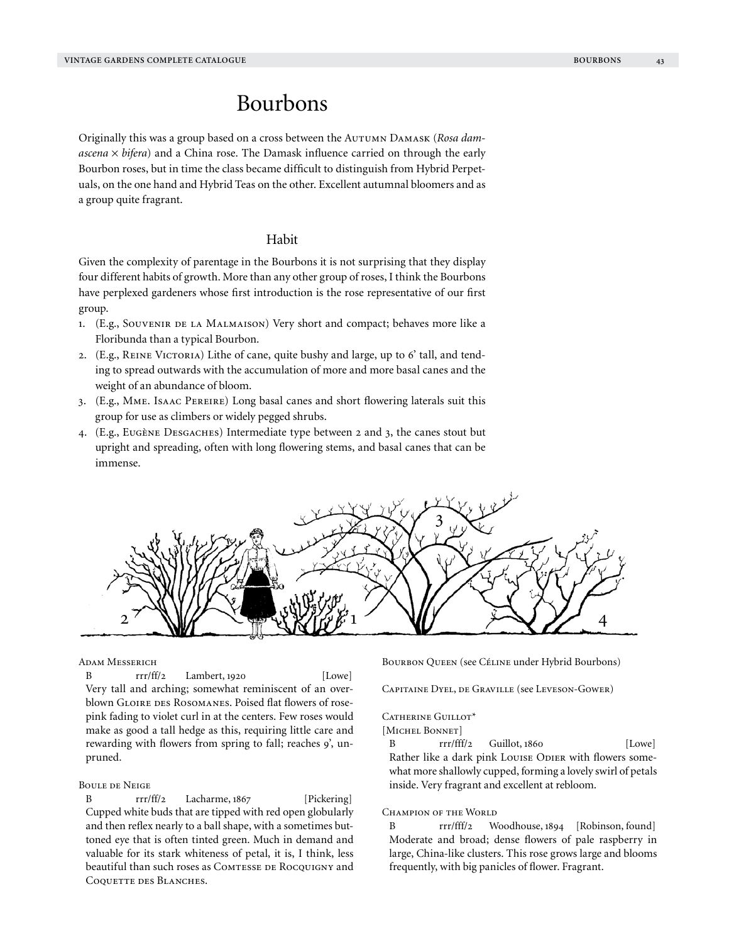# Bourbons

Originally this was a group based on a cross between the Autumn Damask (*Rosa damascena* × *bifera*) and a China rose. The Damask influence carried on through the early Bourbon roses, but in time the class became difficult to distinguish from Hybrid Perpetuals, on the one hand and Hybrid Teas on the other. Excellent autumnal bloomers and as a group quite fragrant.

## Habit

Given the complexity of parentage in the Bourbons it is not surprising that they display four different habits of growth. More than any other group of roses, I think the Bourbons have perplexed gardeners whose first introduction is the rose representative of our first group.

- 1. (E.g., Souvenir de la Malmaison) Very short and compact; behaves more like a Floribunda than a typical Bourbon.
- 2. (E.g., REINE VICTORIA) Lithe of cane, quite bushy and large, up to 6' tall, and tending to spread outwards with the accumulation of more and more basal canes and the weight of an abundance of bloom.
- 3. (E.g., Mme. Isaac Pereire) Long basal canes and short flowering laterals suit this group for use as climbers or widely pegged shrubs.
- 4. (E.g., Eugène Desgaches) Intermediate type between 2 and 3, the canes stout but upright and spreading, often with long flowering stems, and basal canes that can be immense.



#### Adam Messerich

B  $rr/ff/2$  Lambert, 1920 [Lowe] Very tall and arching; somewhat reminiscent of an overblown GLOIRE DES ROSOMANES. Poised flat flowers of rosepink fading to violet curl in at the centers. Few roses would make as good a tall hedge as this, requiring little care and rewarding with flowers from spring to fall; reaches 9', unpruned.

#### Boule de Neige

B rrr/ff/2 Lacharme, 1867 [Pickering] Cupped white buds that are tipped with red open globularly and then reflex nearly to a ball shape, with a sometimes buttoned eye that is often tinted green. Much in demand and valuable for its stark whiteness of petal, it is, I think, less beautiful than such roses as COMTESSE DE ROCQUIGNY and COQUETTE DES BLANCHES.

BOURBON QUEEN (see CÉLINE under Hybrid Bourbons)

Capitaine Dyel, de Graville (see Leveson-Gower)

#### CATHERINE GUILLOT\*

[Michel Bonnet]

B rrr/fff/2 Guillot, 1860 [Lowe] Rather like a dark pink Louise Odier with flowers somewhat more shallowly cupped, forming a lovely swirl of petals inside. Very fragrant and excellent at rebloom.

## CHAMPION OF THE WORLD

B rrr/fff/2 Woodhouse, 1894 [Robinson, found] Moderate and broad; dense flowers of pale raspberry in large, China-like clusters. This rose grows large and blooms frequently, with big panicles of flower. Fragrant.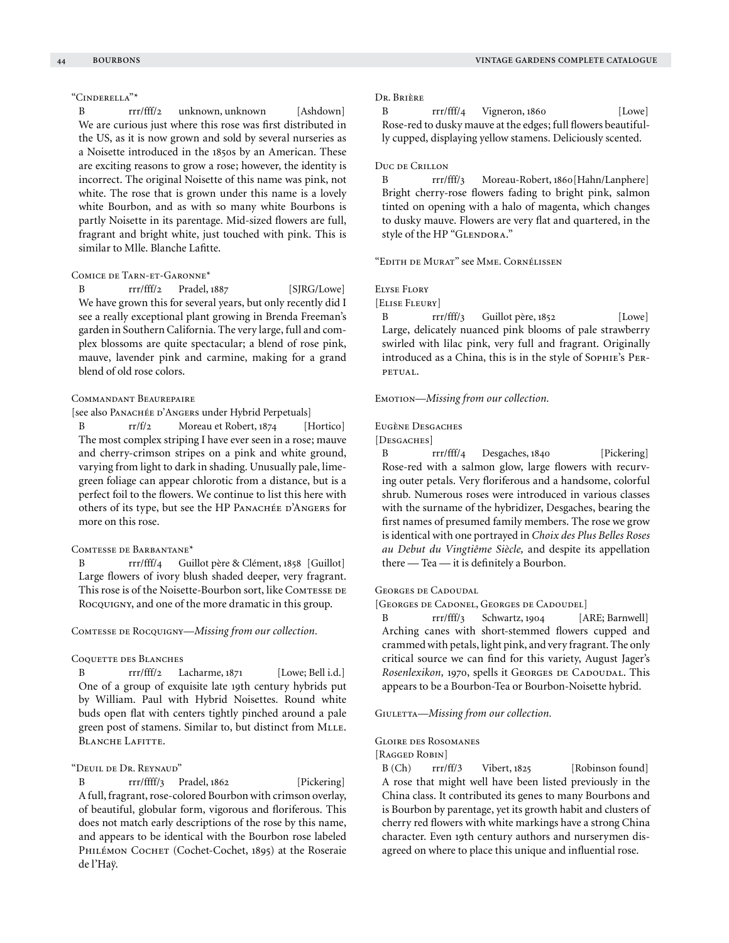## "Cinderella"\*

B rrr/fff/2 unknown, unknown [Ashdown] We are curious just where this rose was first distributed in the US, as it is now grown and sold by several nurseries as a Noisette introduced in the 1850s by an American. These are exciting reasons to grow a rose; however, the identity is incorrect. The original Noisette of this name was pink, not white. The rose that is grown under this name is a lovely white Bourbon, and as with so many white Bourbons is partly Noisette in its parentage. Mid-sized flowers are full, fragrant and bright white, just touched with pink. This is similar to Mlle. Blanche Lafitte.

## Comice de Tarn-et-Garonne\*

B rrr/fff/2 Pradel, 1887 [SJRG/Lowe] We have grown this for several years, but only recently did I see a really exceptional plant growing in Brenda Freeman's garden in Southern California. The very large, full and complex blossoms are quite spectacular; a blend of rose pink, mauve, lavender pink and carmine, making for a grand blend of old rose colors.

#### Commandant Beaurepaire

[see also PANACHÉE D'ANGERS under Hybrid Perpetuals]

B rr/f/2 Moreau et Robert, 1874 [Hortico] The most complex striping I have ever seen in a rose; mauve and cherry-crimson stripes on a pink and white ground, varying from light to dark in shading. Unusually pale, limegreen foliage can appear chlorotic from a distance, but is a perfect foil to the flowers. We continue to list this here with others of its type, but see the HP PANACHÉE D'ANGERS for more on this rose.

### Comtesse de Barbantane\*

B rrr/fff/4 Guillot père & Clément, 1858 [Guillot] Large flowers of ivory blush shaded deeper, very fragrant. This rose is of the Noisette-Bourbon sort, like ComTESSE DE Rocquigny, and one of the more dramatic in this group.

Comtesse de Rocquigny—*Missing from our collection.*

#### COQUETTE DES BLANCHES

B rrr/fff/2 Lacharme, 1871 [Lowe; Bell i.d.] One of a group of exquisite late 19th century hybrids put by William. Paul with Hybrid Noisettes. Round white buds open flat with centers tightly pinched around a pale green post of stamens. Similar to, but distinct from MLLE. BLANCHE LAFITTE.

## "Deuil de Dr. Reynaud"

B rrr/ffff/3 Pradel, 1862 [Pickering] A full, fragrant, rose-colored Bourbon with crimson overlay, of beautiful, globular form, vigorous and floriferous. This does not match early descriptions of the rose by this name, and appears to be identical with the Bourbon rose labeled PHILÉMON COCHET (Cochet-Cochet, 1895) at the Roseraie de l'Haÿ.

#### Dr. Brière

B rrr/fff/4 Vigneron, 1860 [Lowe] Rose-red to dusky mauve at the edges; full flowers beautifully cupped, displaying yellow stamens. Deliciously scented.

#### Duc de Crillon

B rrr/fff/3 Moreau-Robert, 1860[Hahn/Lanphere] Bright cherry-rose flowers fading to bright pink, salmon tinted on opening with a halo of magenta, which changes to dusky mauve. Flowers are very flat and quartered, in the style of the HP "GLENDORA."

"Edith de Murat" see Mme. Cornélissen

## Elyse Flory

[Elise Fleury]

B rrr/fff/3 Guillot père, 1852 [Lowe] Large, delicately nuanced pink blooms of pale strawberry swirled with lilac pink, very full and fragrant. Originally introduced as a China, this is in the style of Sophie's Perpetual.

EMOTION—*Missing from our collection*.

#### EUGÈNE DESGACHES

[DESGACHES]

B rrr/fff/4 Desgaches, 1840 [Pickering] Rose-red with a salmon glow, large flowers with recurving outer petals. Very floriferous and a handsome, colorful shrub. Numerous roses were introduced in various classes with the surname of the hybridizer, Desgaches, bearing the first names of presumed family members. The rose we grow is identical with one portrayed in *Choix des Plus Belles Roses au Debut du Vingtiême Siècle,* and despite its appellation there — Tea — it is definitely a Bourbon.

## GEORGES DE CADOUDAL

[Georges de Cadonel, Georges de Cadoudel]

B rrr/fff/3 Schwartz, 1904 [ARE; Barnwell] Arching canes with short-stemmed flowers cupped and crammed with petals, light pink, and very fragrant. The only critical source we can find for this variety, August Jager's *Rosenlexikon*, 1970, spells it GEORGES DE CADOUDAL. This appears to be a Bourbon-Tea or Bourbon-Noisette hybrid.

GIULETTA-Missing from our collection.

#### Gloire des Rosomanes

### [RAGGED ROBIN]

B (Ch) rrr/ff/3 Vibert, 1825 [Robinson found] A rose that might well have been listed previously in the China class. It contributed its genes to many Bourbons and is Bourbon by parentage, yet its growth habit and clusters of cherry red flowers with white markings have a strong China character. Even 19th century authors and nurserymen disagreed on where to place this unique and influential rose.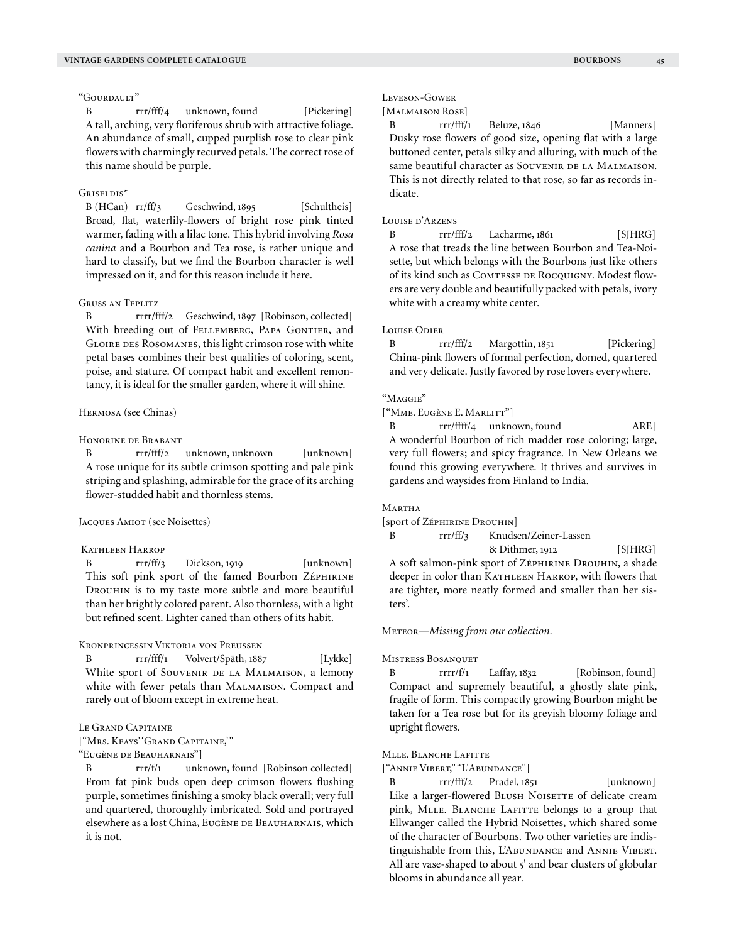#### "Gourdault"

B rrr/fff/4 unknown, found [Pickering] A tall, arching, very floriferous shrub with attractive foliage. An abundance of small, cupped purplish rose to clear pink flowers with charmingly recurved petals. The correct rose of this name should be purple.

## Griseldis\*

B (HCan) rr/ff/3 Geschwind, 1895 [Schultheis] Broad, flat, waterlily-flowers of bright rose pink tinted warmer, fading with a lilac tone. This hybrid involving *Rosa canina* and a Bourbon and Tea rose, is rather unique and hard to classify, but we find the Bourbon character is well impressed on it, and for this reason include it here.

## Gruss an Teplitz

B rrrr/fff/2 Geschwind, 1897 [Robinson, collected] With breeding out of FELLEMBERG, PAPA GONTIER, and GLOIRE DES ROSOMANES, this light crimson rose with white petal bases combines their best qualities of coloring, scent, poise, and stature. Of compact habit and excellent remontancy, it is ideal for the smaller garden, where it will shine.

## Hermosa (see Chinas)

## Honorine de Brabant

B rrr/fff/2 unknown, unknown [unknown] A rose unique for its subtle crimson spotting and pale pink striping and splashing, admirable for the grace of its arching flower-studded habit and thornless stems.

## Jacques Amiot (see Noisettes)

### Kathleen Harrop

B rrr/ff/3 Dickson, 1919 [unknown] This soft pink sport of the famed Bourbon ZÉPHIRINE Drouhin is to my taste more subtle and more beautiful than her brightly colored parent. Also thornless, with a light but refined scent. Lighter caned than others of its habit.

#### Kronprincessin Viktoria von Preussen

B rrr/fff/1 Volvert/Späth, 1887 [Lykke] White sport of SOUVENIR DE LA MALMAISON, a lemony white with fewer petals than Malmaison. Compact and rarely out of bloom except in extreme heat.

## LE GRAND CAPITAINE

["Mrs. Keays' 'Grand Capitaine,'"

"Eugène de Beauharnais"]

B rrr/f/1 unknown, found [Robinson collected] From fat pink buds open deep crimson flowers flushing purple, sometimes finishing a smoky black overall; very full and quartered, thoroughly imbricated. Sold and portrayed elsewhere as a lost China, Eugène de Beauharnais, which it is not.

#### Leveson-Gower

[Malmaison Rose]

B rrr/fff/1 Beluze, 1846 [Manners] Dusky rose flowers of good size, opening flat with a large buttoned center, petals silky and alluring, with much of the same beautiful character as SOUVENIR DE LA MALMAISON. This is not directly related to that rose, so far as records indicate.

## Louise d'Arzens

B rrr/fff/2 Lacharme, 1861 [SJHRG] A rose that treads the line between Bourbon and Tea-Noisette, but which belongs with the Bourbons just like others of its kind such as COMTESSE DE ROCQUIGNY. Modest flowers are very double and beautifully packed with petals, ivory white with a creamy white center.

#### Louise Odier

B rrr/fff/2 Margottin, 1851 [Pickering] China-pink flowers of formal perfection, domed, quartered and very delicate. Justly favored by rose lovers everywhere.

## "Maggie"

["Mme. Eugène E. Marlitt"]

B rrr/ffff/4 unknown, found [ARE] A wonderful Bourbon of rich madder rose coloring; large, very full flowers; and spicy fragrance. In New Orleans we found this growing everywhere. It thrives and survives in gardens and waysides from Finland to India.

#### Martha

[sport of Zéphirine Drouhin]

B rrr/ff/3 Knudsen/Zeiner-Lassen

& Dithmer, 1912 [SJHRG] A soft salmon-pink sport of ZépHIRINE DROUHIN, a shade deeper in color than KATHLEEN HARROP, with flowers that are tighter, more neatly formed and smaller than her sisters'.

#### Meteor—*Missing from our collection.*

## Mistress Bosanquet

B rrrr/f/1 Laffay, 1832 [Robinson, found] Compact and supremely beautiful, a ghostly slate pink, fragile of form. This compactly growing Bourbon might be taken for a Tea rose but for its greyish bloomy foliage and upright flowers.

## MLLE. BLANCHE LAFITTE

["Annie Vibert," "L'Abundance"]

B rrr/fff/2 Pradel, 1851 [unknown] Like a larger-flowered BLUSH NOISETTE of delicate cream pink, MLLE. BLANCHE LAFITTE belongs to a group that Ellwanger called the Hybrid Noisettes, which shared some of the character of Bourbons. Two other varieties are indistinguishable from this, L'ABUNDANCE and ANNIE VIBERT. All are vase-shaped to about 5' and bear clusters of globular blooms in abundance all year.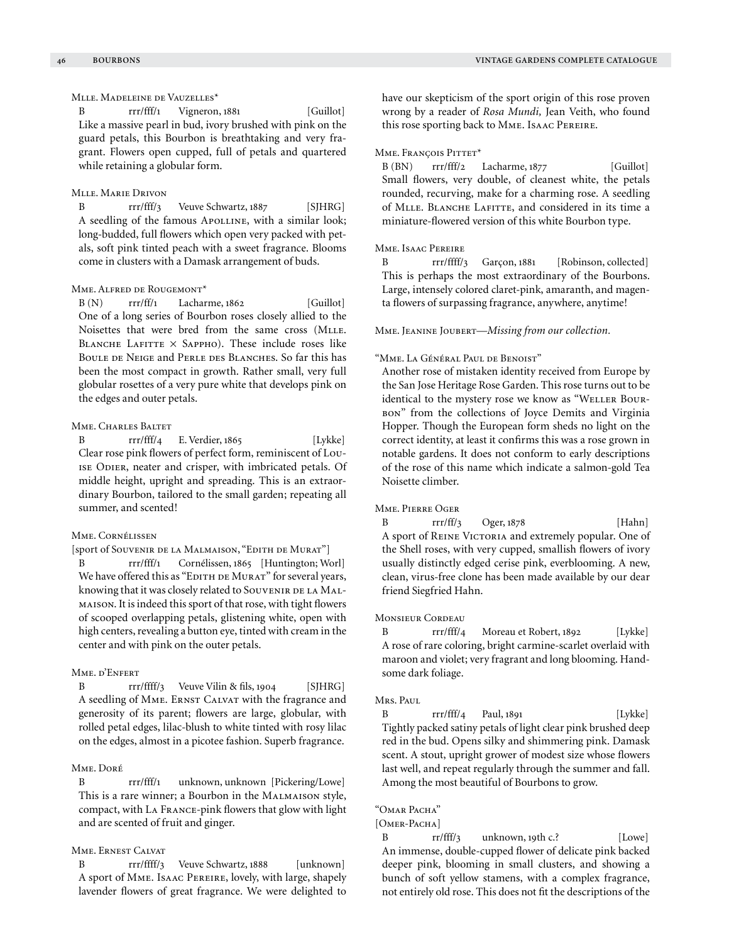# Mlle. Madeleine de Vauzelles\*

B rrr/fff/1 Vigneron, 1881 [Guillot] Like a massive pearl in bud, ivory brushed with pink on the guard petals, this Bourbon is breathtaking and very fragrant. Flowers open cupped, full of petals and quartered while retaining a globular form.

## Mlle. Marie Drivon

B rrr/fff/3 Veuve Schwartz, 1887 [SJHRG] A seedling of the famous APOLLINE, with a similar look; long-budded, full flowers which open very packed with petals, soft pink tinted peach with a sweet fragrance. Blooms come in clusters with a Damask arrangement of buds.

## Mme. Alfred de Rougemont\*

 $B(N)$  rrr/ff/1 Lacharme, 1862 [Guillot] One of a long series of Bourbon roses closely allied to the Noisettes that were bred from the same cross (MLLE. BLANCHE LAFITTE  $\times$  Sappho). These include roses like BOULE DE NEIGE and PERLE DES BLANCHES. So far this has been the most compact in growth. Rather small, very full globular rosettes of a very pure white that develops pink on the edges and outer petals.

## Mme. Charles Baltet

B rrr/fff/4 E. Verdier, 1865 [Lykke] Clear rose pink flowers of perfect form, reminiscent of Louise Odier, neater and crisper, with imbricated petals. Of middle height, upright and spreading. This is an extraordinary Bourbon, tailored to the small garden; repeating all summer, and scented!

## Mme. Cornélissen

[sport of Souvenir de la Malmaison, "Edith de Murat"]

B rrr/fff/1 Cornélissen, 1865 [Huntington; Worl] We have offered this as "EDITH DE MURAT" for several years, knowing that it was closely related to SOUVENIR DE LA MALmaison. It is indeed this sport of that rose, with tight flowers of scooped overlapping petals, glistening white, open with high centers, revealing a button eye, tinted with cream in the center and with pink on the outer petals.

## Mme. d'Enfert

B rrr/ffff/3 Veuve Vilin & fils, 1904 [SJHRG] A seedling of MME. ERNST CALVAT with the fragrance and generosity of its parent; flowers are large, globular, with rolled petal edges, lilac-blush to white tinted with rosy lilac on the edges, almost in a picotee fashion. Superb fragrance.

## Mme. Doré

B rrr/fff/1 unknown, unknown [Pickering/Lowe] This is a rare winner; a Bourbon in the MALMAISON style, compact, with La France-pink flowers that glow with light and are scented of fruit and ginger.

## Mme. Ernest Calvat

B rrr/ffff/3 Veuve Schwartz, 1888 [unknown] A sport of Mme. Isaac Pereire, lovely, with large, shapely lavender flowers of great fragrance. We were delighted to have our skepticism of the sport origin of this rose proven wrong by a reader of *Rosa Mundi,* Jean Veith, who found this rose sporting back to Mme. Isaac Pereire.

#### MME. FRANÇOIS PITTET\*

B (BN) rrr/fff/2 Lacharme, 1877 [Guillot] Small flowers, very double, of cleanest white, the petals rounded, recurving, make for a charming rose. A seedling of Mlle. Blanche Lafitte, and considered in its time a miniature-flowered version of this white Bourbon type.

## Mme. Isaac Pereire

B rrr/ffff/3 Garçon, 1881 [Robinson, collected] This is perhaps the most extraordinary of the Bourbons. Large, intensely colored claret-pink, amaranth, and magenta flowers of surpassing fragrance, anywhere, anytime!

Mme. Jeanine Joubert—*Missing from our collection.*

#### "Mme. La Général Paul de Benoist"

Another rose of mistaken identity received from Europe by the San Jose Heritage Rose Garden. This rose turns out to be identical to the mystery rose we know as "WELLER BOUR-BON" from the collections of Joyce Demits and Virginia Hopper. Though the European form sheds no light on the correct identity, at least it confirms this was a rose grown in notable gardens. It does not conform to early descriptions of the rose of this name which indicate a salmon-gold Tea Noisette climber.

## Mme. Pierre Oger

B rrr/ff/3 Oger, 1878 [Hahn] A sport of REINE VICTORIA and extremely popular. One of the Shell roses, with very cupped, smallish flowers of ivory usually distinctly edged cerise pink, everblooming. A new, clean, virus-free clone has been made available by our dear friend Siegfried Hahn.

#### Monsieur Cordeau

B rrr/fff/4 Moreau et Robert, 1892 [Lykke] A rose of rare coloring, bright carmine-scarlet overlaid with maroon and violet; very fragrant and long blooming. Handsome dark foliage.

#### Mrs. Paul

B rrr/fff/4 Paul, 1891 [Lykke] Tightly packed satiny petals of light clear pink brushed deep red in the bud. Opens silky and shimmering pink. Damask scent. A stout, upright grower of modest size whose flowers last well, and repeat regularly through the summer and fall. Among the most beautiful of Bourbons to grow.

"Omar Pacha"

[OMER-PACHA]

B rr/fff/3 unknown, 19th c.? [Lowe] An immense, double-cupped flower of delicate pink backed deeper pink, blooming in small clusters, and showing a bunch of soft yellow stamens, with a complex fragrance, not entirely old rose. This does not fit the descriptions of the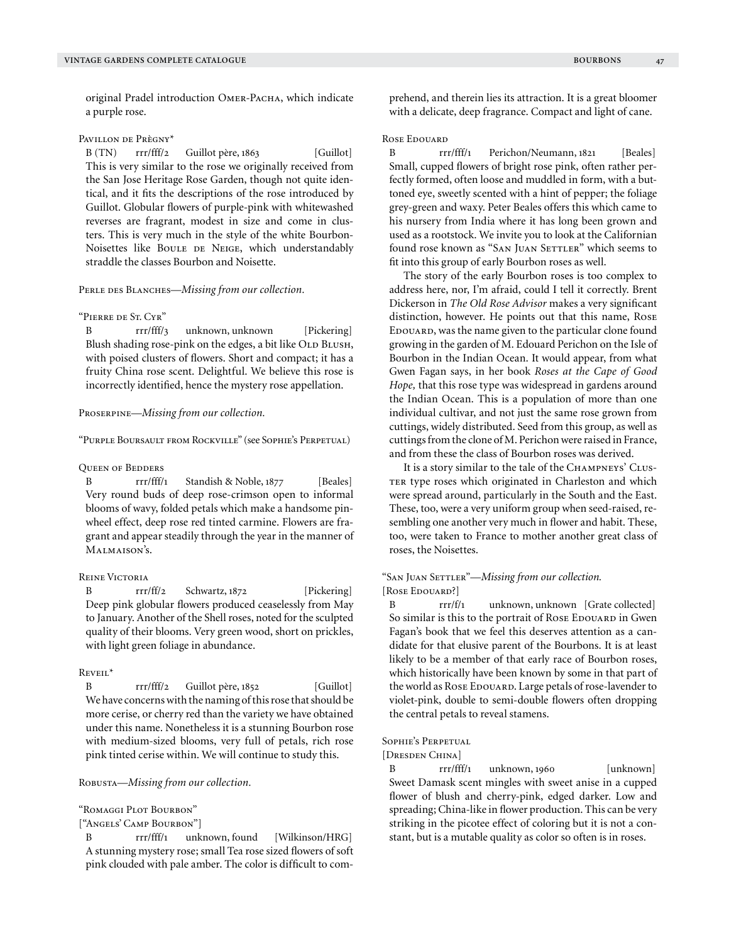original Pradel introduction OMER-PACHA, which indicate a purple rose.

## Pavillon de Prègny\*

B (TN) rrr/fff/2 Guillot père, 1863 [Guillot] This is very similar to the rose we originally received from the San Jose Heritage Rose Garden, though not quite identical, and it fits the descriptions of the rose introduced by Guillot. Globular flowers of purple-pink with whitewashed reverses are fragrant, modest in size and come in clusters. This is very much in the style of the white Bourbon-Noisettes like BOULE DE NEIGE, which understandably straddle the classes Bourbon and Noisette.

## PERLE DES BLANCHES—*Missing from our collection*.

#### "Pierre de St. Cyr"

B rrr/fff/3 unknown, unknown [Pickering] Blush shading rose-pink on the edges, a bit like OLD BLUSH, with poised clusters of flowers. Short and compact; it has a fruity China rose scent. Delightful. We believe this rose is incorrectly identified, hence the mystery rose appellation.

## Proserpine—*Missing from our collection.*

"Purple Boursault from Rockville" (see Sophie's Perpetual)

#### Queen of Bedders

B rrr/fff/1 Standish & Noble, 1877 [Beales] Very round buds of deep rose-crimson open to informal blooms of wavy, folded petals which make a handsome pinwheel effect, deep rose red tinted carmine. Flowers are fragrant and appear steadily through the year in the manner of Malmaison's.

## Reine Victoria

B rrr/ff/2 Schwartz, 1872 [Pickering] Deep pink globular flowers produced ceaselessly from May to January. Another of the Shell roses, noted for the sculpted quality of their blooms. Very green wood, short on prickles, with light green foliage in abundance.

#### Reveil\*

B rrr/fff/2 Guillot père, 1852 [Guillot] We have concerns with the naming of this rose that should be more cerise, or cherry red than the variety we have obtained under this name. Nonetheless it is a stunning Bourbon rose with medium-sized blooms, very full of petals, rich rose pink tinted cerise within. We will continue to study this.

Robusta—*Missing from our collection.*

"Romaggi Plot Bourbon"

["Angels' Camp Bourbon"]

B rrr/fff/1 unknown, found [Wilkinson/HRG] A stunning mystery rose; small Tea rose sized flowers of soft pink clouded with pale amber. The color is difficult to comprehend, and therein lies its attraction. It is a great bloomer with a delicate, deep fragrance. Compact and light of cane.

## Rose Edouard

B rrr/fff/1 Perichon/Neumann, 1821 [Beales] Small, cupped flowers of bright rose pink, often rather perfectly formed, often loose and muddled in form, with a buttoned eye, sweetly scented with a hint of pepper; the foliage grey-green and waxy. Peter Beales offers this which came to his nursery from India where it has long been grown and used as a rootstock. We invite you to look at the Californian found rose known as "SAN JUAN SETTLER" which seems to fit into this group of early Bourbon roses as well.

The story of the early Bourbon roses is too complex to address here, nor, I'm afraid, could I tell it correctly. Brent Dickerson in *The Old Rose Advisor* makes a very significant distinction, however. He points out that this name, Rose EDOUARD, was the name given to the particular clone found growing in the garden of M. Edouard Perichon on the Isle of Bourbon in the Indian Ocean. It would appear, from what Gwen Fagan says, in her book *Roses at the Cape of Good Hope,* that this rose type was widespread in gardens around the Indian Ocean. This is a population of more than one individual cultivar, and not just the same rose grown from cuttings, widely distributed. Seed from this group, as well as cuttings from the clone of M. Perichon were raised in France, and from these the class of Bourbon roses was derived.

It is a story similar to the tale of the CHAMPNEYS' CLUS-TER type roses which originated in Charleston and which were spread around, particularly in the South and the East. These, too, were a very uniform group when seed-raised, resembling one another very much in flower and habit. These, too, were taken to France to mother another great class of roses, the Noisettes.

# "SAN JUAN SETTLER"-Missing from our collection.

[ROSE EDOUARD?]

B rrr/f/1 unknown, unknown [Grate collected] So similar is this to the portrait of Rose EDOUARD in Gwen Fagan's book that we feel this deserves attention as a candidate for that elusive parent of the Bourbons. It is at least likely to be a member of that early race of Bourbon roses, which historically have been known by some in that part of the world as Rose EDOUARD. Large petals of rose-lavender to violet-pink, double to semi-double flowers often dropping the central petals to reveal stamens.

## Sophie's Perpetual

#### [Dresden China]

B rrr/fff/1 unknown, 1960 [unknown] Sweet Damask scent mingles with sweet anise in a cupped flower of blush and cherry-pink, edged darker. Low and spreading; China-like in flower production. This can be very striking in the picotee effect of coloring but it is not a constant, but is a mutable quality as color so often is in roses.